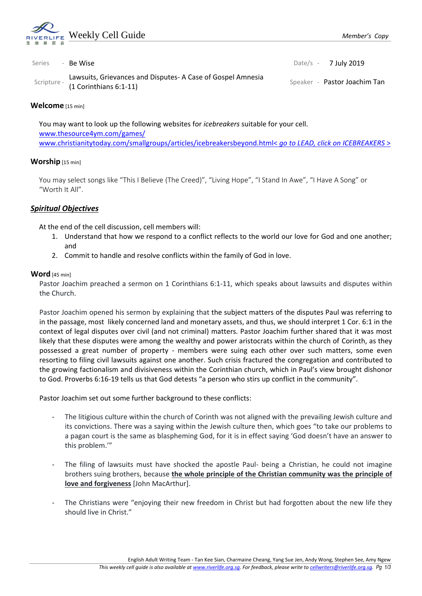

| Series | - Be Wise                                                                                        | Date/s $-7$ July 2019        |
|--------|--------------------------------------------------------------------------------------------------|------------------------------|
|        | Lawsuits, Grievances and Disputes-A Case of Gospel Amnesia<br>scripture - (1 Corinthians 6:1-11) | Speaker - Pastor Joachim Tan |

### **Welcome** [15 min]

You may want to look up the following websites for *icebreakers* suitable for your cell. [www.thesource4ym.com/games/](http://www.thesource4ym.com/games/) [www.christianitytoday.com/smallgroups/articles/icebreakersbeyond.html<](http://www.christianitytoday.com/smallgroups/articles/icebreakersbeyond.html) *go to LEAD, click on ICEBREAKERS* >

## **Worship** [15 min]

You may select songs like "This I Believe (The Creed)", "Living Hope", "I Stand In Awe", "I Have A Song" or "Worth It All".

## *Spiritual Objectives*

At the end of the cell discussion, cell members will:

- 1. Understand that how we respond to a conflict reflects to the world our love for God and one another; and
- 2. Commit to handle and resolve conflicts within the family of God in love.

#### **Word** [45 min]

Pastor Joachim preached a sermon on 1 Corinthians 6:1-11, which speaks about lawsuits and disputes within the Church.

Pastor Joachim opened his sermon by explaining that the subject matters of the disputes Paul was referring to in the passage, most likely concerned land and monetary assets, and thus, we should interpret 1 Cor. 6:1 in the context of legal disputes over civil (and not criminal) matters. Pastor Joachim further shared that it was most likely that these disputes were among the wealthy and power aristocrats within the church of Corinth, as they possessed a great number of property - members were suing each other over such matters, some even resorting to filing civil lawsuits against one another. Such crisis fractured the congregation and contributed to the growing factionalism and divisiveness within the Corinthian church, which in Paul's view brought dishonor to God. Proverbs 6:16-19 tells us that God detests "a person who stirs up conflict in the community".

Pastor Joachim set out some further background to these conflicts:

- The litigious culture within the church of Corinth was not aligned with the prevailing Jewish culture and its convictions. There was a saying within the Jewish culture then, which goes "to take our problems to a pagan court is the same as blaspheming God, for it is in effect saying 'God doesn't have an answer to this problem.'"
- The filing of lawsuits must have shocked the apostle Paul- being a Christian, he could not imagine brothers suing brothers, because **the whole principle of the Christian community was the principle of love and forgiveness** [John MacArthur].
- The Christians were "enjoying their new freedom in Christ but had forgotten about the new life they should live in Christ."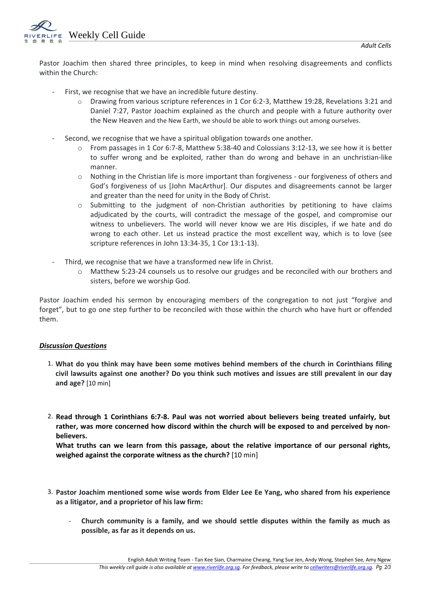Weekly Cell Guide

Pastor Joachim then shared three principles, to keep in mind when resolving disagreements and conflicts within the Church:

- First, we recognise that we have an incredible future destiny.
	- Drawing from various scripture references in 1 Cor 6:2-3, Matthew 19:28, Revelations 3:21 and Daniel 7:27, Pastor Joachim explained as the church and people with a future authority over the New Heaven and the New Earth, we should be able to work things out among ourselves.
- Second, we recognise that we have a spiritual obligation towards one another.
	- o From passages in 1 Cor 6:7-8, Matthew 5:38-40 and Colossians 3:12-13, we see how it is better to suffer wrong and be exploited, rather than do wrong and behave in an unchristian-like manner.
	- o Nothing in the Christian life is more important than forgiveness our forgiveness of others and God's forgiveness of us [John MacArthur]. Our disputes and disagreements cannot be larger and greater than the need for unity in the Body of Christ.
	- o Submitting to the judgment of non-Christian authorities by petitioning to have claims adjudicated by the courts, will contradict the message of the gospel, and compromise our witness to unbelievers. The world will never know we are His disciples, if we hate and do wrong to each other. Let us instead practice the most excellent way, which is to love (see scripture references in John 13:34-35, 1 Cor 13:1-13).
- Third, we recognise that we have a transformed new life in Christ.
	- o Matthew 5:23-24 counsels us to resolve our grudges and be reconciled with our brothers and sisters, before we worship God.

Pastor Joachim ended his sermon by encouraging members of the congregation to not just "forgive and forget", but to go one step further to be reconciled with those within the church who have hurt or offended them.

## *Discussion Questions*

- 1. **What do you think may have been some motives behind members of the church in Corinthians filing civil lawsuits against one another? Do you think such motives and issues are still prevalent in our day and age?** [10 min]
- 2. **Read through 1 Corinthians 6:7-8. Paul was not worried about believers being treated unfairly, but rather, was more concerned how discord within the church will be exposed to and perceived by nonbelievers.**

**What truths can we learn from this passage, about the relative importance of our personal rights, weighed against the corporate witness as the church?** [10 min]

- 3. **Pastor Joachim mentioned some wise words from Elder Lee Ee Yang, who shared from his experience as a litigator, and a proprietor of his law firm:** 
	- **Church community is a family, and we should settle disputes within the family as much as possible, as far as it depends on us.**